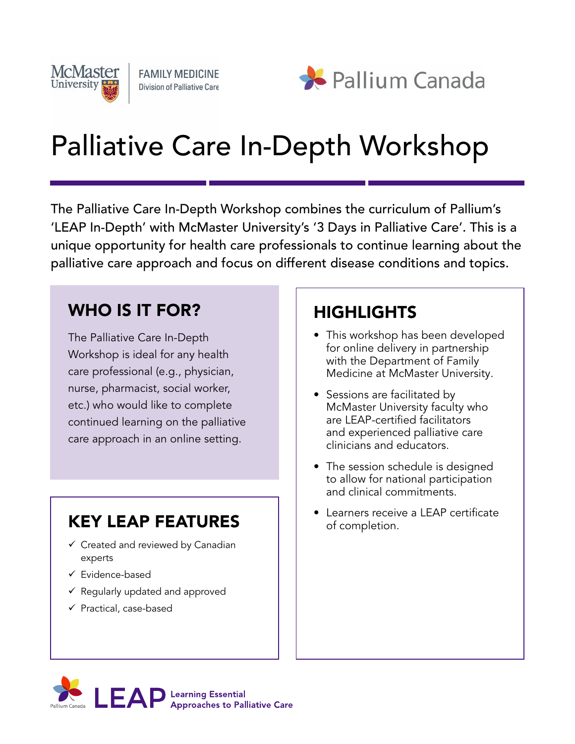



# Palliative Care In-Depth Workshop

The Palliative Care In-Depth Workshop combines the curriculum of Pallium's 'LEAP In-Depth' with McMaster University's '3 Days in Palliative Care'. This is a unique opportunity for health care professionals to continue learning about the palliative care approach and focus on different disease conditions and topics.

## WHO IS IT FOR?

The Palliative Care In-Depth Workshop is ideal for any health care professional (e.g., physician, nurse, pharmacist, social worker, etc.) who would like to complete continued learning on the palliative care approach in an online setting.

# KEY LEAP FEATURES

- $\checkmark$  Created and reviewed by Canadian experts
- $\checkmark$  Evidence-based
- $\checkmark$  Regularly updated and approved
- $\checkmark$  Practical, case-based

### HIGHLIGHTS

- This workshop has been developed for online delivery in partnership with the Department of Family Medicine at McMaster University.
- Sessions are facilitated by McMaster University faculty who are LEAP-certified facilitators and experienced palliative care clinicians and educators.
- The session schedule is designed to allow for national participation and clinical commitments.
- Learners receive a LEAP certificate of completion.